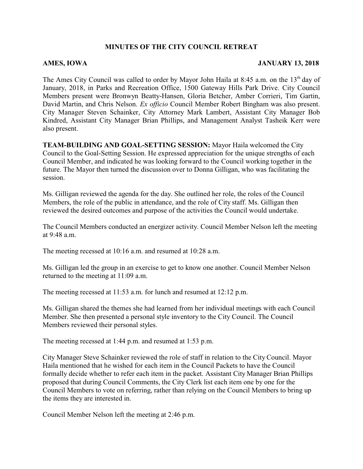## **MINUTES OF THE CITY COUNCIL RETREAT**

## **AMES, IOWA JANUARY 13, 2018**

The Ames City Council was called to order by Mayor John Haila at 8:45 a.m. on the 13<sup>th</sup> day of January, 2018, in Parks and Recreation Office, 1500 Gateway Hills Park Drive. City Council Members present were Bronwyn Beatty-Hansen, Gloria Betcher, Amber Corrieri, Tim Gartin, David Martin, and Chris Nelson. *Ex officio* Council Member Robert Bingham was also present. City Manager Steven Schainker, City Attorney Mark Lambert, Assistant City Manager Bob Kindred, Assistant City Manager Brian Phillips, and Management Analyst Tasheik Kerr were also present.

**TEAM-BUILDING AND GOAL-SETTING SESSION:** Mayor Haila welcomed the City Council to the Goal-Setting Session. He expressed appreciation for the unique strengths of each Council Member, and indicated he was looking forward to the Council working together in the future. The Mayor then turned the discussion over to Donna Gilligan, who was facilitating the session.

Ms. Gilligan reviewed the agenda for the day. She outlined her role, the roles of the Council Members, the role of the public in attendance, and the role of City staff. Ms. Gilligan then reviewed the desired outcomes and purpose of the activities the Council would undertake.

The Council Members conducted an energizer activity. Council Member Nelson left the meeting at 9:48 a.m.

The meeting recessed at 10:16 a.m. and resumed at 10:28 a.m.

Ms. Gilligan led the group in an exercise to get to know one another. Council Member Nelson returned to the meeting at 11:09 a.m.

The meeting recessed at 11:53 a.m. for lunch and resumed at 12:12 p.m.

Ms. Gilligan shared the themes she had learned from her individual meetings with each Council Member. She then presented a personal style inventory to the City Council. The Council Members reviewed their personal styles.

The meeting recessed at 1:44 p.m. and resumed at 1:53 p.m.

City Manager Steve Schainker reviewed the role of staff in relation to the City Council. Mayor Haila mentioned that he wished for each item in the Council Packets to have the Council formally decide whether to refer each item in the packet. Assistant City Manager Brian Phillips proposed that during Council Comments, the City Clerk list each item one by one for the Council Members to vote on referring, rather than relying on the Council Members to bring up the items they are interested in.

Council Member Nelson left the meeting at 2:46 p.m.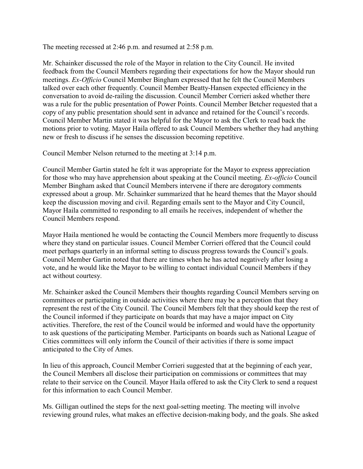The meeting recessed at 2:46 p.m. and resumed at 2:58 p.m.

Mr. Schainker discussed the role of the Mayor in relation to the City Council. He invited feedback from the Council Members regarding their expectations for how the Mayor should run meetings. *Ex-Officio* Council Member Bingham expressed that he felt the Council Members talked over each other frequently. Council Member Beatty-Hansen expected efficiency in the conversation to avoid de-railing the discussion. Council Member Corrieri asked whether there was a rule for the public presentation of Power Points. Council Member Betcher requested that a copy of any public presentation should sent in advance and retained for the Council's records. Council Member Martin stated it was helpful for the Mayor to ask the Clerk to read back the motions prior to voting. Mayor Haila offered to ask Council Members whether they had anything new or fresh to discuss if he senses the discussion becoming repetitive.

Council Member Nelson returned to the meeting at 3:14 p.m.

Council Member Gartin stated he felt it was appropriate for the Mayor to express appreciation for those who may have apprehension about speaking at the Council meeting. *Ex-officio* Council Member Bingham asked that Council Members intervene if there are derogatory comments expressed about a group. Mr. Schainker summarized that he heard themes that the Mayor should keep the discussion moving and civil. Regarding emails sent to the Mayor and City Council, Mayor Haila committed to responding to all emails he receives, independent of whether the Council Members respond.

Mayor Haila mentioned he would be contacting the Council Members more frequently to discuss where they stand on particular issues. Council Member Corrieri offered that the Council could meet perhaps quarterly in an informal setting to discuss progress towards the Council's goals. Council Member Gartin noted that there are times when he has acted negatively after losing a vote, and he would like the Mayor to be willing to contact individual Council Members if they act without courtesy.

Mr. Schainker asked the Council Members their thoughts regarding Council Members serving on committees or participating in outside activities where there may be a perception that they represent the rest of the City Council. The Council Members felt that they should keep the rest of the Council informed if they participate on boards that may have a major impact on City activities. Therefore, the rest of the Council would be informed and would have the opportunity to ask questions of the participating Member. Participants on boards such as National League of Cities committees will only inform the Council of their activities if there is some impact anticipated to the City of Ames.

In lieu of this approach, Council Member Corrieri suggested that at the beginning of each year, the Council Members all disclose their participation on commissions or committees that may relate to their service on the Council. Mayor Haila offered to ask the City Clerk to send a request for this information to each Council Member.

Ms. Gilligan outlined the steps for the next goal-setting meeting. The meeting will involve reviewing ground rules, what makes an effective decision-making body, and the goals. She asked